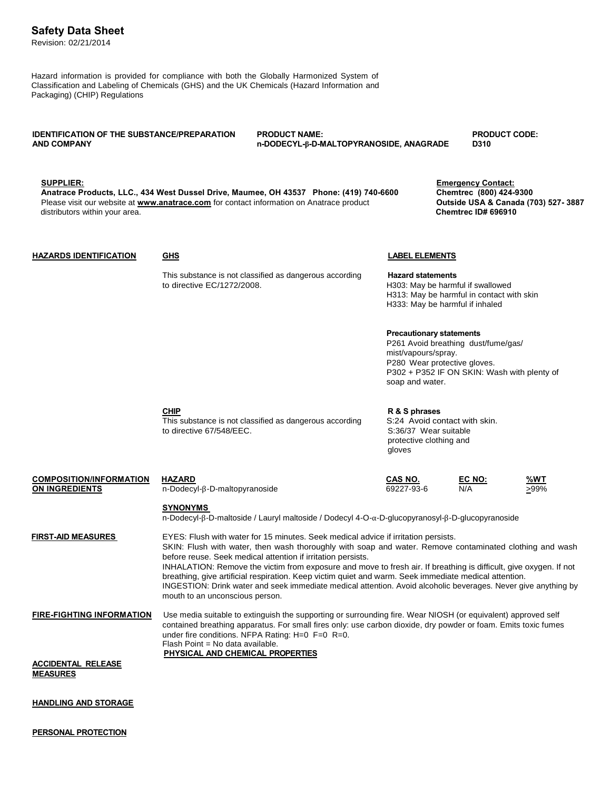## **Safety Data Sheet**

Revision: 02/21/2014

Hazard information is provided for compliance with both the Globally Harmonized System of Classification and Labeling of Chemicals (GHS) and the UK Chemicals (Hazard Information and Packaging) (CHIP) Regulations

# **IDENTIFICATION OF THE SUBSTANCE/PREPARATION PRODUCT NAME: PRODUCT CODE:**

**AND COMPANY n-DODECYL-β-D-MALTOPYRANOSIDE, ANAGRADE D310**

**SUPPLIER: Emergency Contact: Anatrace Products, LLC., 434 West Dussel Drive, Maumee, OH 43537 Phone: (419) 740-6600 Chemtrec (800) 424-9300** Please visit our website at **[www.anatrace.com](http://www.anatrace.com/)** for contact information on Anatrace product **Outside USA & Canada (703) 527-3887**<br>distributors within your area. distributors within your area.

### **HAZARDS IDENTIFICATION GHS LABEL ELEMENTS**

This substance is not classified as dangerous according **Hazard statements**<br>to directive EC/1272/2008.<br>H303: May be harmi

H303: May be harmful if swallowed H313: May be harmful in contact with skin H333: May be harmful if inhaled

## **Precautionary statements**

P261 Avoid breathing dust/fume/gas/ mist/vapours/spray. P280 Wear protective gloves. P302 + P352 IF ON SKIN: Wash with plenty of soap and water.

**ON INGREDIENTS** n-Dodecyl-β-D-maltopyranoside

 $COMPOSITION/INFORMATION$  **HAZARD** 

This substance is not classified as dangerous according S:24 Avoid contact with skin. to directive 67/548/EEC. S:36/37 Wear suitable

**CHIP R & S phrases** protective clothing and gloves

| CAS NO.    | EC NO: | %WT  |
|------------|--------|------|
| 69227-93-6 | N/A    | >99% |
|            |        |      |

## **SYNONYMS**

n-Dodecyl-β-D-maltoside / Lauryl maltoside / Dodecyl 4-O-α-D-glucopyranosyl-β-D-glucopyranoside

**FIRST-AID MEASURES** EYES: Flush with water for 15 minutes. Seek medical advice if irritation persists. SKIN: Flush with water, then wash thoroughly with soap and water. Remove contaminated clothing and wash before reuse. Seek medical attention if irritation persists. INHALATION: Remove the victim from exposure and move to fresh air. If breathing is difficult, give oxygen. If not breathing, give artificial respiration. Keep victim quiet and warm. Seek immediate medical attention. INGESTION: Drink water and seek immediate medical attention. Avoid alcoholic beverages. Never give anything by mouth to an unconscious person.

**FIRE-FIGHTING INFORMATION** Use media suitable to extinguish the supporting or surrounding fire. Wear NIOSH (or equivalent) approved self contained breathing apparatus. For small fires only: use carbon dioxide, dry powder or foam. Emits toxic fumes under fire conditions. NFPA Rating: H=0 F=0 R=0. Flash Point = No data available. **PHYSICAL AND CHEMICAL PROPERTIES**

**ACCIDENTAL RELEASE MEASURES**

**HANDLING AND STORAGE**

**PERSONAL PROTECTION**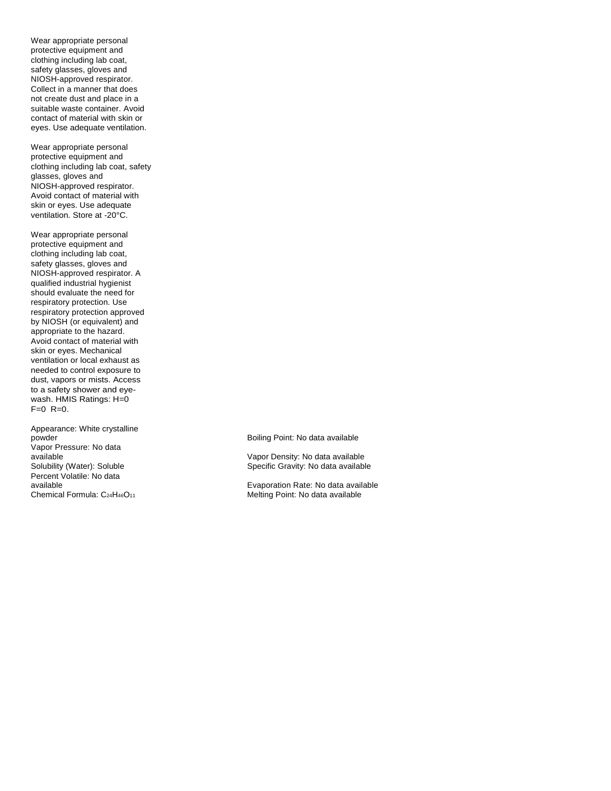Wear appropriate personal protective equipment and clothing including lab coat, safety glasses, gloves and NIOSH-approved respirator. Collect in a manner that does not create dust and place in a suitable waste container. Avoid contact of material with skin or eyes. Use adequate ventilation.

Wear appropriate personal protective equipment and clothing including lab coat, safety glasses, gloves and NIOSH-approved respirator. Avoid contact of material with skin or eyes. Use adequate ventilation. Store at -20°C.

Wear appropriate personal protective equipment and clothing including lab coat, safety glasses, gloves and NIOSH-approved respirator. A qualified industrial hygienist should evaluate the need for respiratory protection. Use respiratory protection approved by NIOSH (or equivalent) and appropriate to the hazard. Avoid contact of material with skin or eyes. Mechanical ventilation or local exhaust as needed to control exposure to dust, vapors or mists. Access to a safety shower and eyewash. HMIS Ratings: H=0  $F=0$  R=0.

Appearance: White crystalline powder **Boiling Point: No data available Boiling Point: No data available** Vapor Pressure: No data available Vapor Density: No data available Percent Volatile: No data<br>available

Specific Gravity: No data available

available<br>
Chemical Formula: C<sub>24</sub>H<sub>46</sub>O<sub>11</sub> (Cassets of the example of the example of the example of the example of the example of the example of the example of the example of the example of the example of the example of Melting Point: No data available